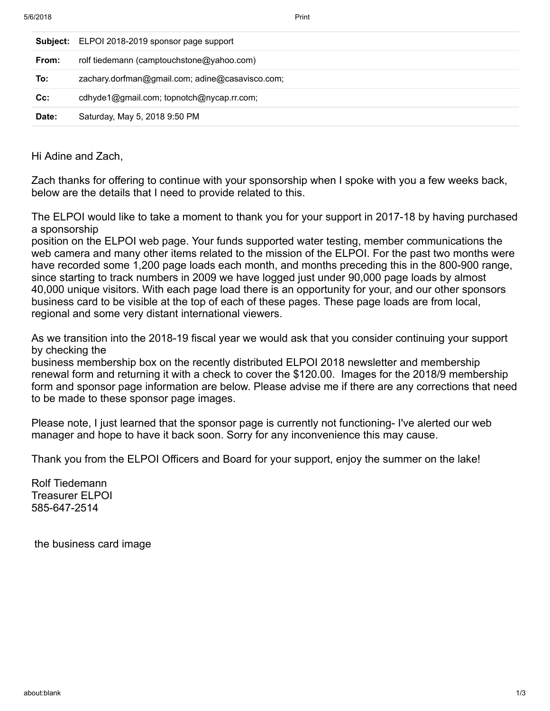| Subject: | ELPOI 2018-2019 sponsor page support            |
|----------|-------------------------------------------------|
| From:    | rolf tiedemann (camptouchstone@yahoo.com)       |
| To:      | zachary.dorfman@gmail.com; adine@casavisco.com; |
| $Cc$ :   | cdhyde1@gmail.com; topnotch@nycap.rr.com;       |
| Date:    | Saturday, May 5, 2018 9:50 PM                   |
|          |                                                 |

Hi Adine and Zach,

Zach thanks for offering to continue with your sponsorship when I spoke with you a few weeks back, below are the details that I need to provide related to this.

The ELPOI would like to take a moment to thank you for your support in 2017-18 by having purchased a sponsorship

position on the ELPOI web page. Your funds supported water testing, member communications the web camera and many other items related to the mission of the ELPOI. For the past two months were have recorded some 1,200 page loads each month, and months preceding this in the 800-900 range, since starting to track numbers in 2009 we have logged just under 90,000 page loads by almost 40,000 unique visitors. With each page load there is an opportunity for your, and our other sponsors business card to be visible at the top of each of these pages. These page loads are from local, regional and some very distant international viewers.

As we transition into the 2018-19 fiscal year we would ask that you consider continuing your support by checking the

business membership box on the recently distributed ELPOI 2018 newsletter and membership renewal form and returning it with a check to cover the \$120.00. Images for the 2018/9 membership form and sponsor page information are below. Please advise me if there are any corrections that need to be made to these sponsor page images.

Please note, I just learned that the sponsor page is currently not functioning- I've alerted our web manager and hope to have it back soon. Sorry for any inconvenience this may cause.

Thank you from the ELPOI Officers and Board for your support, enjoy the summer on the lake!

Rolf Tiedemann Treasurer ELPOI 585-647-2514

the business card image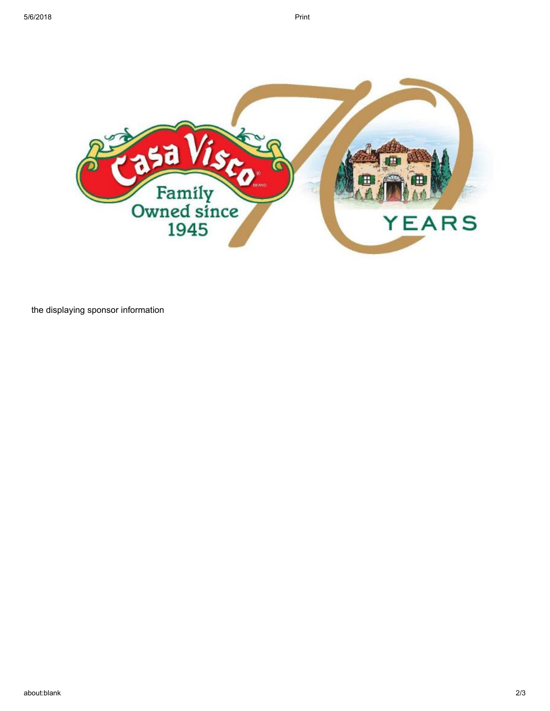

the displaying sponsor information